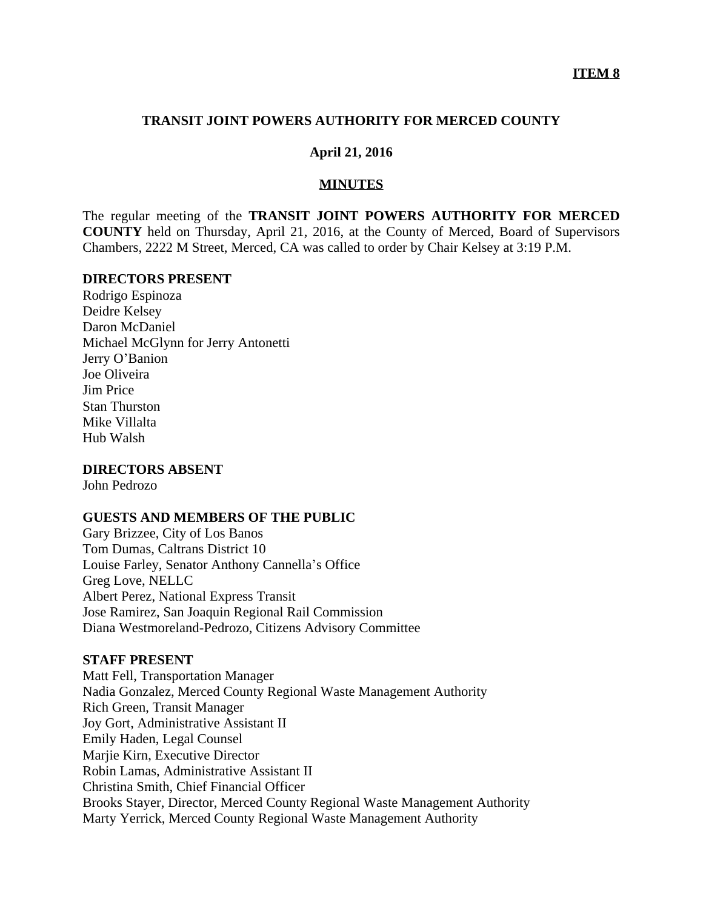### **TRANSIT JOINT POWERS AUTHORITY FOR MERCED COUNTY**

## **April 21, 2016**

### **MINUTES**

The regular meeting of the **TRANSIT JOINT POWERS AUTHORITY FOR MERCED COUNTY** held on Thursday, April 21, 2016, at the County of Merced, Board of Supervisors Chambers, 2222 M Street, Merced, CA was called to order by Chair Kelsey at 3:19 P.M.

### **DIRECTORS PRESENT**

Rodrigo Espinoza Deidre Kelsey Daron McDaniel Michael McGlynn for Jerry Antonetti Jerry O'Banion Joe Oliveira Jim Price Stan Thurston Mike Villalta Hub Walsh

### **DIRECTORS ABSENT**

John Pedrozo

### **GUESTS AND MEMBERS OF THE PUBLIC**

Gary Brizzee, City of Los Banos Tom Dumas, Caltrans District 10 Louise Farley, Senator Anthony Cannella's Office Greg Love, NELLC Albert Perez, National Express Transit Jose Ramirez, San Joaquin Regional Rail Commission Diana Westmoreland-Pedrozo, Citizens Advisory Committee

### **STAFF PRESENT**

Matt Fell, Transportation Manager Nadia Gonzalez, Merced County Regional Waste Management Authority Rich Green, Transit Manager Joy Gort, Administrative Assistant II Emily Haden, Legal Counsel Marjie Kirn, Executive Director Robin Lamas, Administrative Assistant II Christina Smith, Chief Financial Officer Brooks Stayer, Director, Merced County Regional Waste Management Authority Marty Yerrick, Merced County Regional Waste Management Authority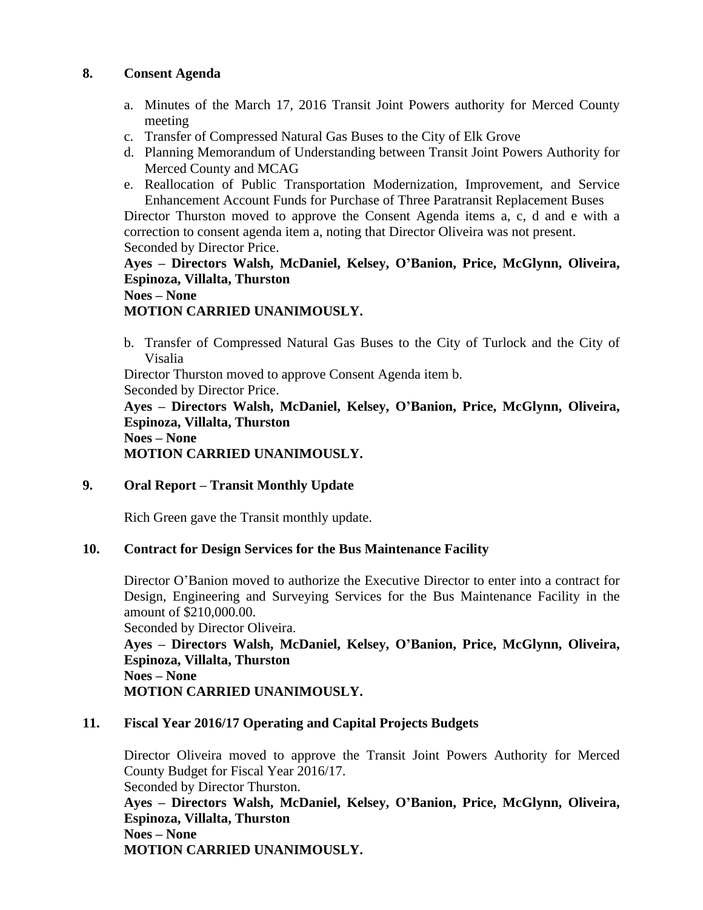## **8. Consent Agenda**

- a. Minutes of the March 17, 2016 Transit Joint Powers authority for Merced County meeting
- c. Transfer of Compressed Natural Gas Buses to the City of Elk Grove
- d. Planning Memorandum of Understanding between Transit Joint Powers Authority for Merced County and MCAG
- e. Reallocation of Public Transportation Modernization, Improvement, and Service Enhancement Account Funds for Purchase of Three Paratransit Replacement Buses

Director Thurston moved to approve the Consent Agenda items a, c, d and e with a correction to consent agenda item a, noting that Director Oliveira was not present. Seconded by Director Price.

# **Ayes – Directors Walsh, McDaniel, Kelsey, O'Banion, Price, McGlynn, Oliveira, Espinoza, Villalta, Thurston**

## **Noes – None**

# **MOTION CARRIED UNANIMOUSLY.**

b. Transfer of Compressed Natural Gas Buses to the City of Turlock and the City of Visalia

Director Thurston moved to approve Consent Agenda item b. Seconded by Director Price.

**Ayes – Directors Walsh, McDaniel, Kelsey, O'Banion, Price, McGlynn, Oliveira, Espinoza, Villalta, Thurston Noes – None MOTION CARRIED UNANIMOUSLY.**

## **9. Oral Report – Transit Monthly Update**

Rich Green gave the Transit monthly update.

## **10. Contract for Design Services for the Bus Maintenance Facility**

Director O'Banion moved to authorize the Executive Director to enter into a contract for Design, Engineering and Surveying Services for the Bus Maintenance Facility in the amount of \$210,000.00.

Seconded by Director Oliveira.

**Ayes – Directors Walsh, McDaniel, Kelsey, O'Banion, Price, McGlynn, Oliveira, Espinoza, Villalta, Thurston Noes – None MOTION CARRIED UNANIMOUSLY.**

## **11. Fiscal Year 2016/17 Operating and Capital Projects Budgets**

Director Oliveira moved to approve the Transit Joint Powers Authority for Merced County Budget for Fiscal Year 2016/17. Seconded by Director Thurston. **Ayes – Directors Walsh, McDaniel, Kelsey, O'Banion, Price, McGlynn, Oliveira, Espinoza, Villalta, Thurston Noes – None MOTION CARRIED UNANIMOUSLY.**